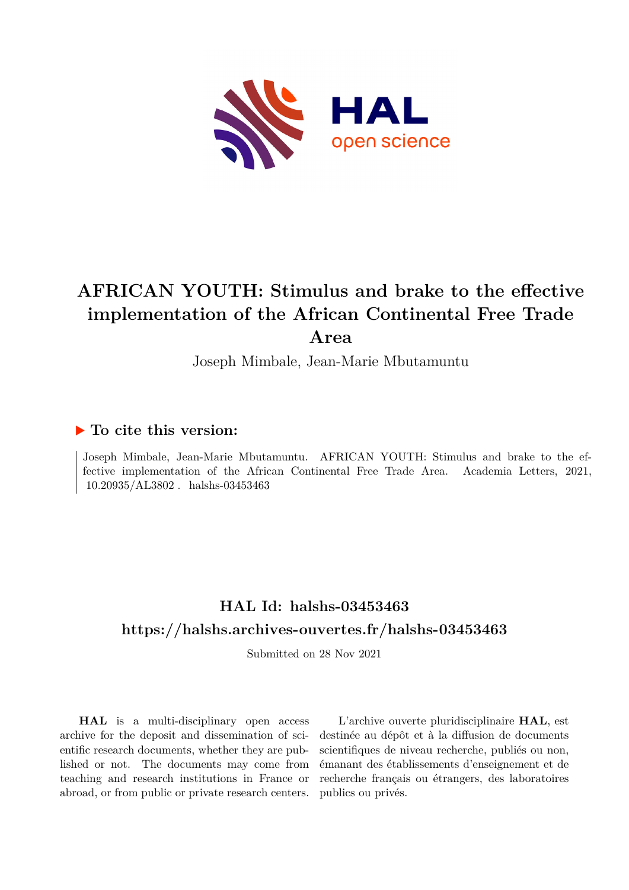

# **AFRICAN YOUTH: Stimulus and brake to the effective implementation of the African Continental Free Trade Area**

Joseph Mimbale, Jean-Marie Mbutamuntu

## **To cite this version:**

Joseph Mimbale, Jean-Marie Mbutamuntu. AFRICAN YOUTH: Stimulus and brake to the effective implementation of the African Continental Free Trade Area. Academia Letters, 2021,  $10.20935/AL3802$ . halshs-03453463

## **HAL Id: halshs-03453463 <https://halshs.archives-ouvertes.fr/halshs-03453463>**

Submitted on 28 Nov 2021

**HAL** is a multi-disciplinary open access archive for the deposit and dissemination of scientific research documents, whether they are published or not. The documents may come from teaching and research institutions in France or abroad, or from public or private research centers.

L'archive ouverte pluridisciplinaire **HAL**, est destinée au dépôt et à la diffusion de documents scientifiques de niveau recherche, publiés ou non, émanant des établissements d'enseignement et de recherche français ou étrangers, des laboratoires publics ou privés.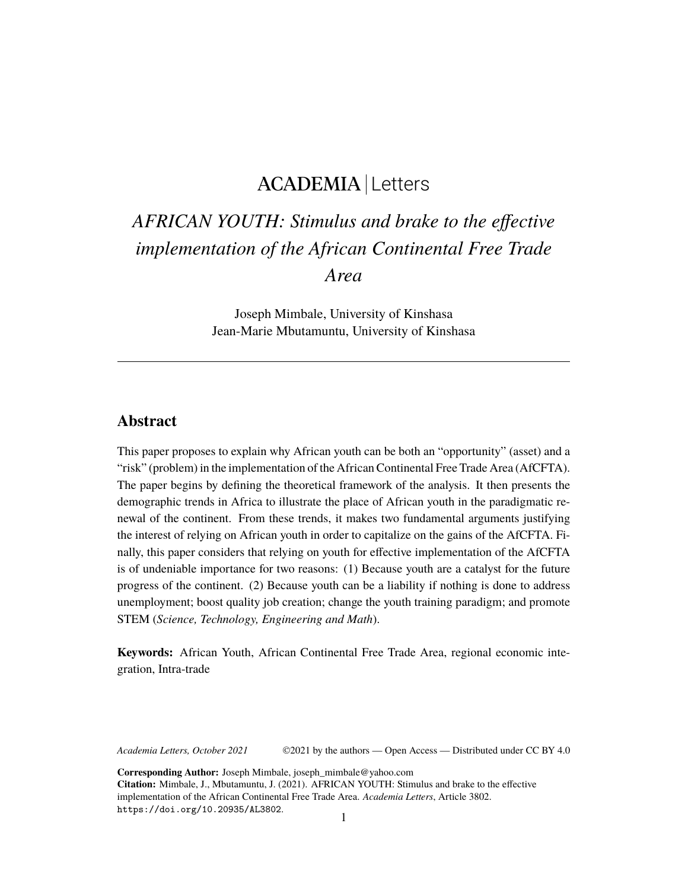## ACADEMIA Letters

# *AFRICAN YOUTH: Stimulus and brake to the effective implementation of the African Continental Free Trade Area*

Joseph Mimbale, University of Kinshasa Jean-Marie Mbutamuntu, University of Kinshasa

### **Abstract**

This paper proposes to explain why African youth can be both an "opportunity" (asset) and a "risk" (problem) in the implementation of the African Continental Free Trade Area (AfCFTA). The paper begins by defining the theoretical framework of the analysis. It then presents the demographic trends in Africa to illustrate the place of African youth in the paradigmatic renewal of the continent. From these trends, it makes two fundamental arguments justifying the interest of relying on African youth in order to capitalize on the gains of the AfCFTA. Finally, this paper considers that relying on youth for effective implementation of the AfCFTA is of undeniable importance for two reasons: (1) Because youth are a catalyst for the future progress of the continent. (2) Because youth can be a liability if nothing is done to address unemployment; boost quality job creation; change the youth training paradigm; and promote STEM (*Science, Technology, Engineering and Math*).

**Keywords:** African Youth, African Continental Free Trade Area, regional economic integration, Intra-trade

*Academia Letters, October 2021* ©2021 by the authors — Open Access — Distributed under CC BY 4.0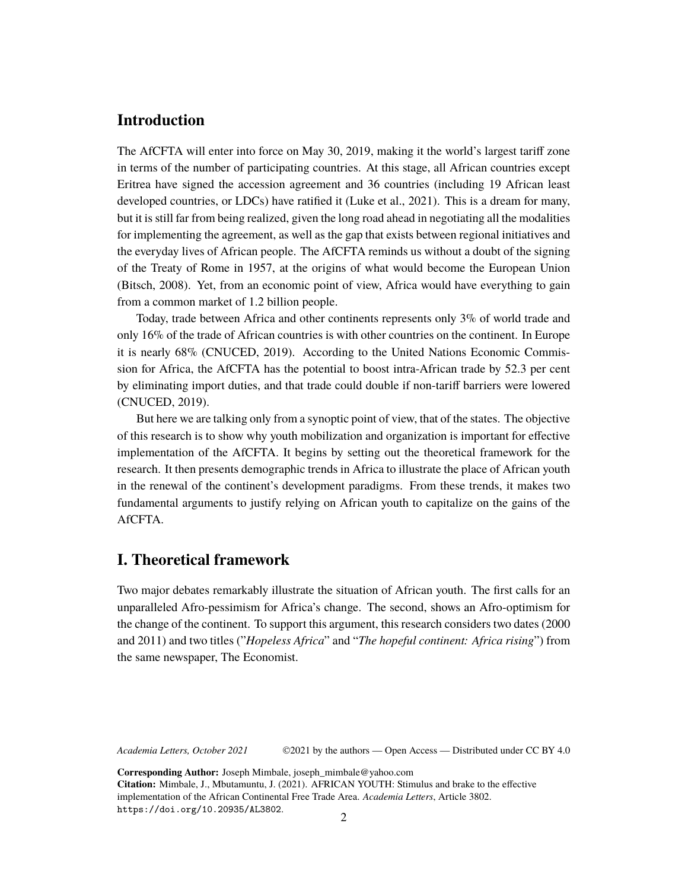## **Introduction**

The AfCFTA will enter into force on May 30, 2019, making it the world's largest tariff zone in terms of the number of participating countries. At this stage, all African countries except Eritrea have signed the accession agreement and 36 countries (including 19 African least developed countries, or LDCs) have ratified it (Luke et al., 2021). This is a dream for many, but it is still far from being realized, given the long road ahead in negotiating all the modalities for implementing the agreement, as well as the gap that exists between regional initiatives and the everyday lives of African people. The AfCFTA reminds us without a doubt of the signing of the Treaty of Rome in 1957, at the origins of what would become the European Union (Bitsch, 2008). Yet, from an economic point of view, Africa would have everything to gain from a common market of 1.2 billion people.

Today, trade between Africa and other continents represents only 3% of world trade and only 16% of the trade of African countries is with other countries on the continent. In Europe it is nearly 68% (CNUCED, 2019). According to the United Nations Economic Commission for Africa, the AfCFTA has the potential to boost intra-African trade by 52.3 per cent by eliminating import duties, and that trade could double if non-tariff barriers were lowered (CNUCED, 2019).

But here we are talking only from a synoptic point of view, that of the states. The objective of this research is to show why youth mobilization and organization is important for effective implementation of the AfCFTA. It begins by setting out the theoretical framework for the research. It then presents demographic trends in Africa to illustrate the place of African youth in the renewal of the continent's development paradigms. From these trends, it makes two fundamental arguments to justify relying on African youth to capitalize on the gains of the AfCFTA.

## **I. Theoretical framework**

Two major debates remarkably illustrate the situation of African youth. The first calls for an unparalleled Afro-pessimism for Africa's change. The second, shows an Afro-optimism for the change of the continent. To support this argument, this research considers two dates (2000 and 2011) and two titles ("*Hopeless Africa*" and "*The hopeful continent: Africa rising*") from the same newspaper, The Economist.

*Academia Letters, October 2021* ©2021 by the authors — Open Access — Distributed under CC BY 4.0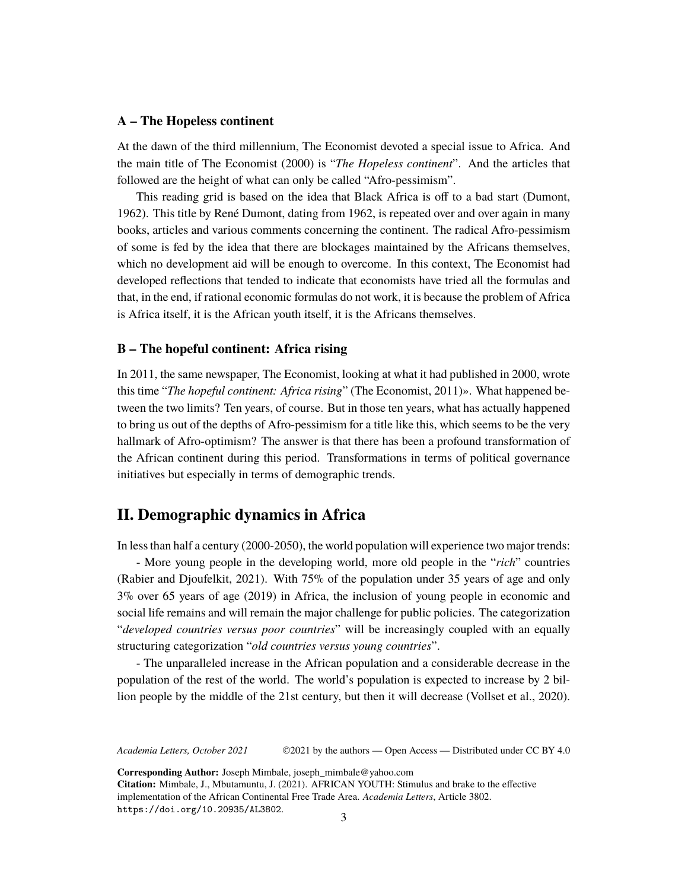#### **A – The Hopeless continent**

At the dawn of the third millennium, The Economist devoted a special issue to Africa. And the main title of The Economist (2000) is "*The Hopeless continent*". And the articles that followed are the height of what can only be called "Afro-pessimism".

This reading grid is based on the idea that Black Africa is off to a bad start (Dumont, 1962). This title by René Dumont, dating from 1962, is repeated over and over again in many books, articles and various comments concerning the continent. The radical Afro-pessimism of some is fed by the idea that there are blockages maintained by the Africans themselves, which no development aid will be enough to overcome. In this context, The Economist had developed reflections that tended to indicate that economists have tried all the formulas and that, in the end, if rational economic formulas do not work, it is because the problem of Africa is Africa itself, it is the African youth itself, it is the Africans themselves.

#### **B – The hopeful continent: Africa rising**

In 2011, the same newspaper, The Economist, looking at what it had published in 2000, wrote this time "*The hopeful continent: Africa rising*" (The Economist, 2011)». What happened between the two limits? Ten years, of course. But in those ten years, what has actually happened to bring us out of the depths of Afro-pessimism for a title like this, which seems to be the very hallmark of Afro-optimism? The answer is that there has been a profound transformation of the African continent during this period. Transformations in terms of political governance initiatives but especially in terms of demographic trends.

## **II. Demographic dynamics in Africa**

In less than half a century (2000-2050), the world population will experience two major trends:

- More young people in the developing world, more old people in the "*rich*" countries (Rabier and Djoufelkit, 2021). With 75% of the population under 35 years of age and only 3% over 65 years of age (2019) in Africa, the inclusion of young people in economic and social life remains and will remain the major challenge for public policies. The categorization "*developed countries versus poor countries*" will be increasingly coupled with an equally structuring categorization "*old countries versus young countries*".

- The unparalleled increase in the African population and a considerable decrease in the population of the rest of the world. The world's population is expected to increase by 2 billion people by the middle of the 21st century, but then it will decrease (Vollset et al., 2020).

*Academia Letters, October 2021* ©2021 by the authors — Open Access — Distributed under CC BY 4.0

**Corresponding Author:** Joseph Mimbale, joseph\_mimbale@yahoo.com

**Citation:** Mimbale, J., Mbutamuntu, J. (2021). AFRICAN YOUTH: Stimulus and brake to the effective implementation of the African Continental Free Trade Area. *Academia Letters*, Article 3802. <https://doi.org/10.20935/AL3802>.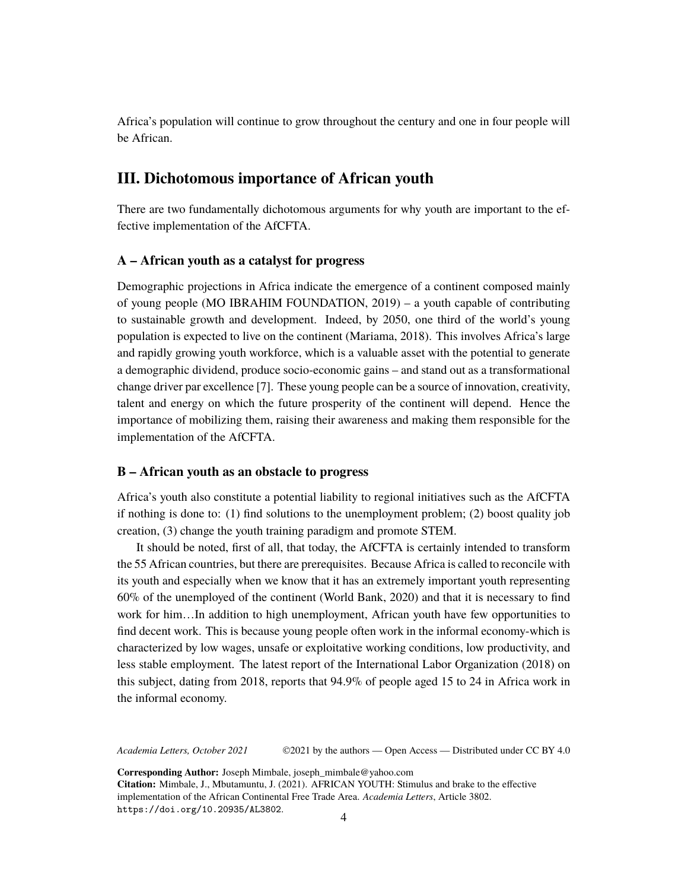Africa's population will continue to grow throughout the century and one in four people will be African.

### **III. Dichotomous importance of African youth**

There are two fundamentally dichotomous arguments for why youth are important to the effective implementation of the AfCFTA.

#### **A – African youth as a catalyst for progress**

Demographic projections in Africa indicate the emergence of a continent composed mainly of young people (MO IBRAHIM FOUNDATION, 2019) – a youth capable of contributing to sustainable growth and development. Indeed, by 2050, one third of the world's young population is expected to live on the continent (Mariama, 2018). This involves Africa's large and rapidly growing youth workforce, which is a valuable asset with the potential to generate a demographic dividend, produce socio-economic gains – and stand out as a transformational change driver par excellence [7]. These young people can be a source of innovation, creativity, talent and energy on which the future prosperity of the continent will depend. Hence the importance of mobilizing them, raising their awareness and making them responsible for the implementation of the AfCFTA.

#### **B – African youth as an obstacle to progress**

Africa's youth also constitute a potential liability to regional initiatives such as the AfCFTA if nothing is done to: (1) find solutions to the unemployment problem; (2) boost quality job creation, (3) change the youth training paradigm and promote STEM.

It should be noted, first of all, that today, the AfCFTA is certainly intended to transform the 55 African countries, but there are prerequisites. Because Africa is called to reconcile with its youth and especially when we know that it has an extremely important youth representing 60% of the unemployed of the continent (World Bank, 2020) and that it is necessary to find work for him…In addition to high unemployment, African youth have few opportunities to find decent work. This is because young people often work in the informal economy-which is characterized by low wages, unsafe or exploitative working conditions, low productivity, and less stable employment. The latest report of the International Labor Organization (2018) on this subject, dating from 2018, reports that 94.9% of people aged 15 to 24 in Africa work in the informal economy.

*Academia Letters, October 2021* ©2021 by the authors — Open Access — Distributed under CC BY 4.0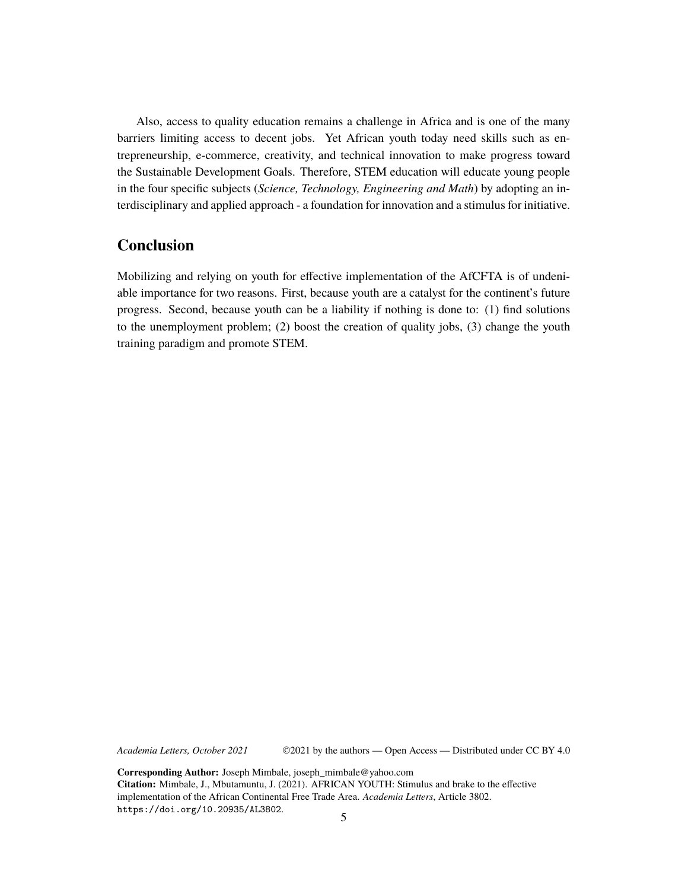Also, access to quality education remains a challenge in Africa and is one of the many barriers limiting access to decent jobs. Yet African youth today need skills such as entrepreneurship, e-commerce, creativity, and technical innovation to make progress toward the Sustainable Development Goals. Therefore, STEM education will educate young people in the four specific subjects (*Science, Technology, Engineering and Math*) by adopting an interdisciplinary and applied approach - a foundation for innovation and a stimulus for initiative.

## **Conclusion**

Mobilizing and relying on youth for effective implementation of the AfCFTA is of undeniable importance for two reasons. First, because youth are a catalyst for the continent's future progress. Second, because youth can be a liability if nothing is done to: (1) find solutions to the unemployment problem; (2) boost the creation of quality jobs, (3) change the youth training paradigm and promote STEM.

*Academia Letters, October 2021* ©2021 by the authors — Open Access — Distributed under CC BY 4.0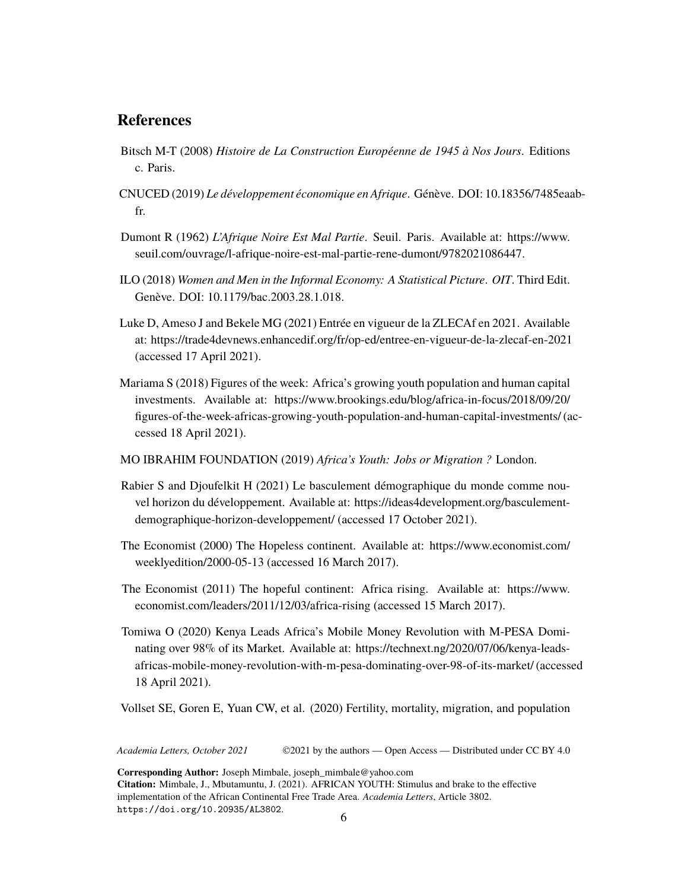## **References**

- Bitsch M-T (2008) *Histoire de La Construction Européenne de 1945 à Nos Jours*. Editions c. Paris.
- CNUCED (2019) *Le développement économique en Afrique*. Génève. DOI: 10.18356/7485eaabfr.
- Dumont R (1962) *L'Afrique Noire Est Mal Partie*. Seuil. Paris. Available at: [https://www.](https://www.seuil.com/ouvrage/l-afrique-noire-est-mal-partie-rene-dumont/9782021086447.) [seuil.com/ouvrage/l-afrique-noire-est-mal-partie-rene-dumont/9782021086447.](https://www.seuil.com/ouvrage/l-afrique-noire-est-mal-partie-rene-dumont/9782021086447.)
- ILO (2018) *Women and Men in the Informal Economy: A Statistical Picture*. *OIT*. Third Edit. Genève. DOI: 10.1179/bac.2003.28.1.018.
- Luke D, Ameso J and Bekele MG (2021) Entrée en vigueur de la ZLECAf en 2021. Available at: <https://trade4devnews.enhancedif.org/fr/op-ed/entree-en-vigueur-de-la-zlecaf-en-2021> (accessed 17 April 2021).
- Mariama S (2018) Figures of the week: Africa's growing youth population and human capital investments. Available at: [https://www.brookings.edu/blog/africa-in-focus/2018/09/20/](https://www.brookings.edu/blog/africa-in-focus/2018/09/20/figures-of-the-week-africas-growing-youth-population-and-human-capital-investments/) [figures-of-the-week-africas-growing-youth-population-and-human-capital-investments/](https://www.brookings.edu/blog/africa-in-focus/2018/09/20/figures-of-the-week-africas-growing-youth-population-and-human-capital-investments/)(accessed 18 April 2021).
- MO IBRAHIM FOUNDATION (2019) *Africa's Youth: Jobs or Migration ?* London.
- Rabier S and Djoufelkit H (2021) Le basculement démographique du monde comme nouvel horizon du développement. Available at: [https://ideas4development.org/basculement](https://ideas4development.org/basculement-demographique-horizon-developpement/)[demographique-horizon-developpement/](https://ideas4development.org/basculement-demographique-horizon-developpement/) (accessed 17 October 2021).
- The Economist (2000) The Hopeless continent. Available at: [https://www.economist.com/](https://www.economist.com/weeklyedition/2000-05-13) [weeklyedition/2000-05-13](https://www.economist.com/weeklyedition/2000-05-13) (accessed 16 March 2017).
- The Economist (2011) The hopeful continent: Africa rising. Available at: [https://www.](https://www.economist.com/leaders/2011/12/03/africa-rising) [economist.com/leaders/2011/12/03/africa-rising](https://www.economist.com/leaders/2011/12/03/africa-rising) (accessed 15 March 2017).
- Tomiwa O (2020) Kenya Leads Africa's Mobile Money Revolution with M-PESA Dominating over 98% of its Market. Available at: [https://technext.ng/2020/07/06/kenya-leads](https://technext.ng/2020/07/06/kenya-leads-africas-mobile-money-revolution-with-m-pesa-dominating-over-98-of-its-market/)[africas-mobile-money-revolution-with-m-pesa-dominating-over-98-of-its-market/](https://technext.ng/2020/07/06/kenya-leads-africas-mobile-money-revolution-with-m-pesa-dominating-over-98-of-its-market/)(accessed 18 April 2021).

Vollset SE, Goren E, Yuan CW, et al. (2020) Fertility, mortality, migration, and population

*Academia Letters, October 2021* ©2021 by the authors — Open Access — Distributed under CC BY 4.0